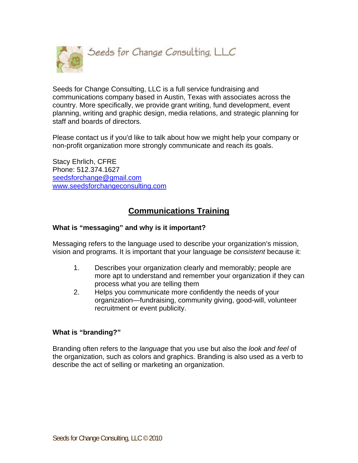

Seeds for Change Consulting, LLC is a full service fundraising and communications company based in Austin, Texas with associates across the country. More specifically, we provide grant writing, fund development, event planning, writing and graphic design, media relations, and strategic planning for staff and boards of directors.

Please contact us if you'd like to talk about how we might help your company or non-profit organization more strongly communicate and reach its goals.

Stacy Ehrlich, CFRE Phone: 512.374.1627 [seedsforchange@gmail.com](mailto:seedsforchange@gmail.com) [www.seedsforchangeconsulting.com](http://www.seedsforchangeconsulting.com/)

# **Communications Training**

## **What is "messaging" and why is it important?**

Messaging refers to the language used to describe your organization's mission, vision and programs. It is important that your language be *consistent* because it:

- 1. Describes your organization clearly and memorably; people are more apt to understand and remember your organization if they can process what you are telling them
- 2. Helps you communicate more confidently the needs of your organization—fundraising, community giving, good-will, volunteer recruitment or event publicity.

## **What is "branding?"**

Branding often refers to the *language* that you use but also the *look and feel* of the organization, such as colors and graphics. Branding is also used as a verb to describe the act of selling or marketing an organization.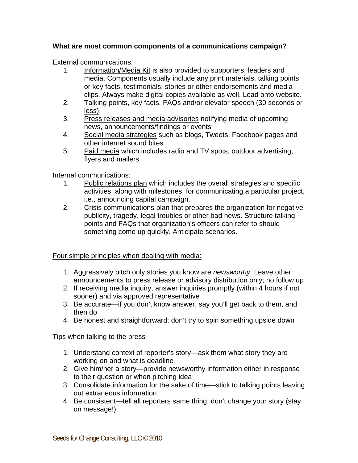## **What are most common components of a communications campaign?**

External communications:

- 1. Information/Media Kit is also provided to supporters, leaders and media. Components usually include any print materials, talking points or key facts, testimonials, stories or other endorsements and media clips. Always make digital copies available as well. Load onto website.
- 2. Talking points, key facts, FAQs and/or elevator speech (30 seconds or less)
- 3. Press releases and media advisories notifying media of upcoming news, announcements/findings or events
- 4. Social media strategies such as blogs, Tweets, Facebook pages and other internet sound bites
- 5. Paid media which includes radio and TV spots, outdoor advertising, flyers and mailers

Internal communications:

- 1. Public relations plan which includes the overall strategies and specific activities, along with milestones, for communicating a particular project, i.e., announcing capital campaign.
- 2. Crisis communications plan that prepares the organization for negative publicity, tragedy, legal troubles or other bad news. Structure talking points and FAQs that organization's officers can refer to should something come up quickly. Anticipate scenarios.

## Four simple principles when dealing with media:

- 1. Aggressively pitch only stories you know are *newsworthy*. Leave other announcements to press release or advisory distribution only; no follow up
- 2. If receiving media inquiry, answer inquiries promptly (within 4 hours if not sooner) and via approved representative
- 3. Be accurate—if you don't know answer, say you'll get back to them, and then do
- 4. Be honest and straightforward; don't try to spin something upside down

## Tips when talking to the press

- 1. Understand context of reporter's story—ask them what story they are working on and what is deadline
- 2. Give him/her a story—provide newsworthy information either in response to their question or when pitching idea
- 3. Consolidate information for the sake of time—stick to talking points leaving out extraneous information
- 4. Be consistent—tell all reporters same thing; don't change your story (stay on message!)